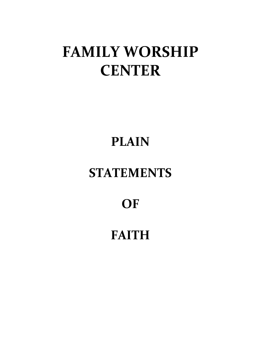# **FAMILY WORSHIP CENTER**

# **PLAIN**

# **STATEMENTS**

# **OF**

# **FAITH**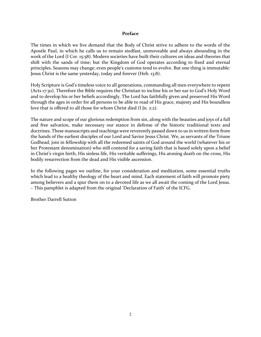# **Preface**

The times in which we live demand that the Body of Christ strive to adhere to the words of the Apostle Paul, in which he calls us to remain stedfast, unmoveable and always abounding in the work of the Lord (I Cor. 15:58). Modern societies have built their cultures on ideas and theories that shift with the sands of time; but the Kingdom of God operates according to fixed and eternal principles. Seasons may change; even people's customs tend to evolve. But one thing is immutable: Jesus Christ is the same yesterday, today and forever (Heb. 13:8).

Holy Scripture is God's timeless voice to all generations, commanding all men everywhere to repent (Acts 17:30). Therefore the Bible requires the Christian to incline his or her ear to God's Holy Word and to develop his or her beliefs accordingly. The Lord has faithfully given and preserved His Word through the ages in order for all persons to be able to read of His grace, majesty and His boundless love that is offered to all those for whom Christ died (I Jn. 2:2).

The nature and scope of our glorious redemption from sin, along with the beauties and joys of a full and free salvation, make necessary our stance in defense of the historic traditional texts and doctrines. These manuscripts and teachings were reverently passed down to us in written form from the hands of the earliest disciples of our Lord and Savior Jesus Christ. We, as servants of the Triune Godhead, join in fellowship with all the redeemed saints of God around the world (whatever his or her Protestant denomination) who still contend for a saving faith that is based solely upon a belief in Christ's virgin birth, His sinless life, His veritable sufferings, His atoning death on the cross, His bodily resurrection from the dead and His visible ascension.

In the following pages we outline, for your consideration and meditation, some essential truths which lead to a healthy theology of the heart and mind. Each statement of faith will promote piety among believers and a spur them on to a devoted life as we all await the coming of the Lord Jesus. – This pamphlet is adapted from the original 'Declaration of Faith' of the ICFG.

Brother Darrell Sutton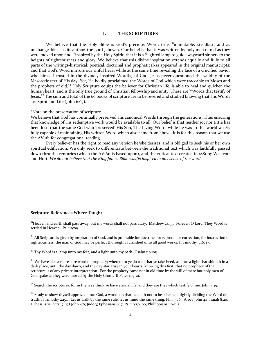# **I. THE SCRIPTURES**

We believe that the Holy Bible is God's precious Word: true, "immutable, steadfast, and as unchangeable as is its author, the Lord Jehovah. Our belief is that it was written by holy men of old as they were moved upon and <sup>22</sup>inspired by the Holy Spirit, that it is a <sup>33</sup>lighted lamp to guide wayward sinners to the heights of righteousness and glory. We believe that this divine inspiration extends equally and fully to all parts of the writings-historical, poetical, doctrinal and prophetical-as appeared in the original manuscripts; and that God's Word mirrors our sinful heart while at the same time revealing the face of a crucified Savior who himself trusted in the divinely inspired Word(s) of God. Jesus never questioned the validity of the Masoretic text of His day. Yet, He boldly proclaimed the Words of God which were traceable to Moses and the prophets of old.<sup>44</sup> Holy Scripture equips the believer for Christian life, is able to heal and quicken the human heart, and is the only true ground of Christian fellowship and unity. These are <sup>55</sup>Words that testify of Jesus;<sup>66</sup> The sum and total of the 66 books of scripture are to be revered and studied knowing that His Words are Spirit and Life (John 6:63).

#### \*Note on the preservation of scripture

We believe that God has continually preserved His canonical Words through the generations. Thus ensuring that knowledge of His redemptive work would be available to all. Our belief is that neither jot nor tittle has been lost, that the same God who 'preserved' His Son, The Living Word, while he was in this world was/is fully capable of maintaining His written Word which also came from above. It is for this reason that we use the AV 1611for congregational reading.

Every believer has the right to read any version he/she desires, and is obliged to seek his or her own spiritual edification. We only seek to differentiate between the traditional text which was faithfully passed down thru the centuries (which the AV1611 is based upon), and the critical text created in 1881 by Westcott and Hort. *We do not believe that the King James Bible was/is inspired in any sense of the word.*

# **Scripture References Where Taught**

<sup>11</sup>Heaven and earth shall pass away, but my words shall not pass away. Matthew 24:35. Forever, O Lord, They Word is settled in Heaven. Ps. 119:89.

 $^{22}$  All Scripture is given by inspiration of God, and is profitable for doctrine, for reproof, for correction, for instruction in righteousness: the man of God may be perfect thoroughly furnished unto all good works. II Timothy 3:16, 17.

<sup>33</sup> Thy Word is a lamp unto my feet, and a light unto my path. Psalm 119:105

<sup>44</sup> We have also a more sure word of prophecy; whereunto ye do well that ye take heed, as unto a light that shineth in a dark place, until the day dawn, and the day star arise in your hearts: knowing this first, that no prophecy of the scripture is of any private interpretation. For the prophecy came not in old time by the will of men: but holy men of God spake as they were moved by the Holy Ghost. II Peter 1:19-21.

<sup>55</sup> Search the scriptures; for in them ye think ye have eternal life: and they are they which testify of me. John 5:39.

 $66$  Study to show thyself approved unto God, a workman that needeth not to be ashamed, rightly dividing the Word of truth. II Timothy 2:15…. Let us walk by the same rule, let us mind the same thing. Phil. 3:16. (Also I John 4:1; Isaiah 8:20; I Thess. 5:21; Acts 17:11; I John 4:6; Jude 3; Ephesians 6:17; Ps. 119:59, 60; Phillippians 1:9-11.)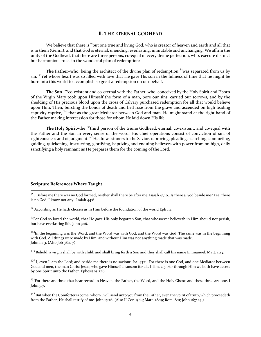### **II. THE ETERNAL GODHEAD**

We believe that there is  $\frac{1}{1}$ but one true and living God, who is creator of heaven and earth and all that is in them (Gen1:1); and that God is eternal, unending, everlasting, immutable and unchanging. We affirm the unity of the Godhead, that there are three persons, co-equal in every divine perfection, who, execute distinct but harmonious roles in the wonderful plan of redemption:

**The Father–who, being the architect of the divine plan of redemption <sup>82</sup> was separated from us by** sin. <sup>93</sup>Yet whose heart was so filled with love that He gave His son in the fullness of time that he might be born into this world to accomplish so great a redemption on our behalf.

The Son–<sup>104</sup>co-existent and co-eternal with the Father, who, conceived by the Holy Spirit and <sup>115</sup>born of the Virgin Mary took upon Himself the form of a man, bore our sins, carried our sorrows, and by the shedding of His precious blood upon the cross of Calvary purchased redemption for all that would believe upon Him. Then, bursting the bonds of death and hell rose from the grave and ascended on high leading captivity captive, <sup>126</sup> that as the great Mediator between God and man, He might stand at the right hand of the Father making intercession for those for whom He laid down His life.

The Holy Spirit-the <sup>137</sup>third person of the triune Godhead, eternal, co-existent, and co-equal with the Father and the Son in every sense of the word. His chief operations consist of conviction of sin, of righteousness and of judgment. <sup>148</sup>He draws sinners to the Savior, reproving, pleading, searching, comforting, guiding, quickening, instructing, glorifying, baptizing and enduing believers with power from on high, daily sanctifying a holy remnant as He prepares them for the coming of the Lord.

# **Scripture References Where Taught**

 $^{71}$  …Before me there was no God formed, neither shall there be after me. Isaiah 43:10…Is there a God beside me? Yea, there is no God; I know not any. Isaiah 44:8.

 $82$  According as He hath chosen us in Him before the foundation of the world Eph 1:4.

93For God so loved the world, that He gave His only begotten Son, that whosoever believeth in Him should not perish, but have everlasting life. John 3:16.

<sup>104</sup>In the beginning was the Word, and the Word was with God, and the Word was God. The same was in the beginning with God. All things were made by Him, and without Him was not anything made that was made. John 1:1-3. (Also Job 38:4-7)

<sup>115</sup> Behold, a virgin shall be with child, and shall bring forth a Son and they shall call his name Emmanuel. Matt. 1:23.

 $12^6$  I, even I, am the Lord; and beside me there is no saviour. Isa. 43:11. For there is one God, and one Mediator between God and men, the man Christ Jesus; who gave Himself a ransom for all. I Tim. 2:5. For through Him we both have access by one Spirit unto the Father. Ephesians 2:18.

<sup>137</sup>For there are three that bear record in Heaven, the Father, the Word, and the Holy Ghost: and these three are one. I John 5:7.

<sup>148</sup> But when the Comforter is come, whom I will send unto you from the Father, even the Spirit of truth, which proceedeth from the Father, He shall testify of me. John 15:26. (Also II Cor. 13:14; Matt. 28:19; Rom. 8:11; John 16;7-14.)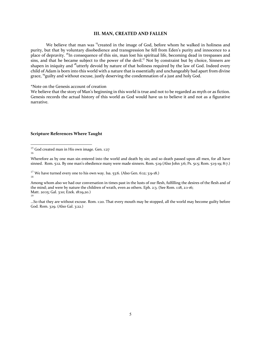#### **III. MAN, CREATED AND FALLEN**

We believe that man was <sup>15</sup>created in the image of God, before whom he walked in holiness and purity, but that by voluntary disobedience and transgression he fell from Eden's purity and innocence to a place of depravity. <sup>16</sup>In consequence of this sin, man lost his spiritual life, becoming dead in trespasses and sins, and that he became subject to the power of the devil.<sup>17</sup> Not by constraint but by choice, Sinners are shapen in iniquity and <sup>18</sup>utterly devoid by nature of that holiness required by the law of God. Indeed every child of Adam is born into this world with a nature that is essentially and unchangeably bad apart from divine grace, <sup>19</sup>guilty and without excuse, justly deserving the condemnation of a just and holy God.

\*Note on the Genesis account of creation

We believe that the story of Man's beginning in this world is true and not to be regarded as myth or as fiction. Genesis records the actual history of this world as God would have us to believe it and not as a figurative narrative.

<sup>&</sup>lt;sup>15</sup> God created man in His own image. Gen. 1:27 16

Wherefore as by one man sin entered into the world and death by sin; and so death passed upon all men, for all have sinned. Rom. 5:12. By one man's obedience many were made sinners. Rom. 5:19 (Also John 3:6; Ps. 51:5; Rom. 5:15-19; 8:7.)

<sup>&</sup>lt;sup>17</sup> We have turned every one to his own way. Isa. 53:6. (Also Gen. 6:12; 3:9-18.) 18

Among whom also we had our conversation in times past in the lusts of our flesh, fulfilling the desires of the flesh and of the mind; and were by nature the children of wrath, even as others. Eph. 2:3. (See Rom. 1:18, 2:1-16; Matt. 20:15; Gal. 3:10; Ezek. 18:19,20.) 19

<sup>…</sup>So that they are without excuse. Rom. 1:20. That every mouth may be stopped, all the world may become guilty before God. Rom. 3;19. (Also Gal. 3:22.)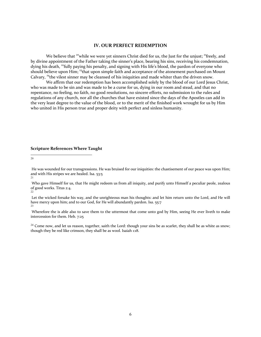# **IV. OUR PERFECT REDEMPTION**

We believe that  $20^{\circ}$  while we were yet sinners Christ died for us, the Just for the unjust;  $21^{\circ}$  freely, and by divine appointment of the Father taking the sinner's place, bearing his sins, receiving his condemnation, dying his death, <sup>22</sup>fully paying his penalty, and signing with His life's blood, the pardon of everyone who should believe upon Him; <sup>23</sup>that upon simple faith and acceptance of the atonement purchased on Mount Calvary, <sup>24</sup>the vilest sinner may be cleansed of his iniquities and made whiter than the driven snow.

We affirm that our redemption has been accomplished solely by the blood of our Lord Jesus Christ, who was made to be sin and was made to be a curse for us, dying in our room and stead, and that no repentance, no feeling, no faith, no good resolutions, no sincere efforts, no submission to the rules and regulations of any church, nor all the churches that have existed since the days of the Apostles can add in the very least degree to the value of the blood, or to the merit of the finished work wrought for us by Him who united in His person true and proper deity with perfect and sinless humanity.

# **Scripture References Where Taught**

20

He was wounded for our transgressions. He was bruised for our iniquities: the chastisement of our peace was upon Him; and with His stripes we are healed. Isa. 53:5 21

Who gave Himself for us, that He might redeem us from all iniquity, and purify unto Himself a peculiar peole, zealous of good works. Titus 2:4.

22

Let the wicked forsake his way, and the unrighteous man his thoughts: and let him return unto the Lord, and He will have mercy upon him; and to our God, for He will abundantly pardon. Isa. 55:7  $23$ 

Wherefore the is able also to save them to the uttermost that come unto god by Him, seeing He ever liveth to make intercession for them. Heb. 7:25

 $24$  Come now, and let us reason, together, saith the Lord: though your sins be as scarlet, they shall be as white as snow; though they be red like crimson, they shall be as wool. Isaiah 1:18.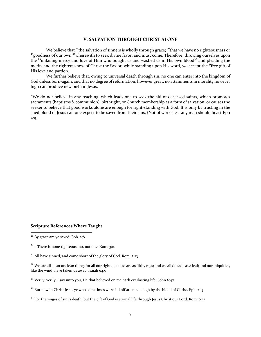# **V. SALVATION THROUGH CHRIST ALONE**

We believe that <sup>25</sup>the salvation of sinners is wholly through grace; <sup>26</sup>that we have no righteousness or <sup>27</sup>goodness of our own <sup>28</sup>wherewith to seek divine favor, and must come. Therefore, throwing ourselves upon the <sup>29</sup>unfailing mercy and love of Him who bought us and washed us in His own blood<sup>30</sup> and pleading the merits and the righteousness of Christ the Savior, while standing upon His word, we accept the <sup>31</sup>free gift of His love and pardon.

We further believe that, owing to universal death through sin, no one can enter into the kingdom of God unless born-again, and that no degree of reformation, however great, no attainments in morality however high can produce new birth in Jesus.

\*We do not believe in any teaching, which leads one to seek the aid of deceased saints, which promotes sacraments (baptisms & communion), birthright, or Church membership as a form of salvation, or causes the seeker to believe that good works alone are enough for right-standing with God. It is only by trusting in the shed blood of Jesus can one expect to be saved from their sins. {Not of works lest any man should boast Eph 2:9}

#### **Scripture References Where Taught**

 $29$  Verily, verily, I say unto you, He that believed on me hath everlasting life. John 6:47.

<sup>&</sup>lt;sup>25</sup> By grace are ye saved. Eph. 2;8.

<sup>26</sup> …There is none righteous, no, not one. Rom. 3:10

<sup>&</sup>lt;sup>27</sup> All have sinned, and come short of the glory of God. Rom. 3:23

<sup>&</sup>lt;sup>28</sup> We are all as an unclean thing, for all our righteousness are as filthy rags; and we all do fade as a leaf; and our iniquities, like the wind, have taken us away. Isaiah 64:6

<sup>&</sup>lt;sup>30</sup> But now in Christ Jesus ye who sometimes were fall off are made nigh by the blood of Christ. Eph. 2:13

 $31$  For the wages of sin is death; but the gift of God is eternal life through Jesus Christ our Lord. Rom. 6:23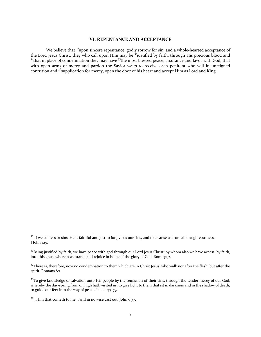# **VI. REPENTANCE AND ACCEPTANCE**

We believe that <sup>32</sup>upon sincere repentance, godly sorrow for sin, and a whole-hearted acceptance of the Lord Jesus Christ, they who call upon Him may be <sup>33</sup>justified by faith, through His precious blood and  $34$ that in place of condemnation they may have  $35$ the most blessed peace, assurance and favor with God, that with open arms of mercy and pardon the Savior waits to receive each penitent who will in unfeigned contrition and <sup>36</sup> supplication for mercy, open the door of his heart and accept Him as Lord and King.

 $32$  If we confess or sins, He is faithful and just to forgive us our sins, and to cleanse us from all unrighteousness. I John 1:19.

<sup>&</sup>lt;sup>33</sup>Being justified by faith, we have peace with god through our Lord Jesus Christ; by whom also we have access, by faith, into this grace wherein we stand, and rejoice in home of the glory of God. Rom. 5:1,2.

 $34$ There is, therefore, now no condemnation to them which are in Christ Jesus, who walk not after the flesh, but after the spirit. Romans 8:1.

<sup>&</sup>lt;sup>35</sup>To give knowledge of salvation unto His people by the remission of their sins, through the tender mercy of our God; whereby the day-spring from on high hath visited us, to give light to them that sit in darkness and in the shadow of death, to guide our feet into the way of peace. Luke 1:77-79.

<sup>&</sup>lt;sup>36</sup>...Him that cometh to me, I will in no wise cast out. John 6:37.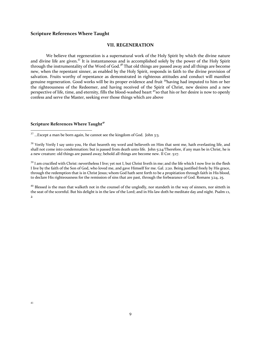# **Scripture References Where Taught**

# **VII. REGENERATION**

We believe that regeneration is a supernatural work of the Holy Spirit by which the divine nature and divine life are given.<sup>37</sup> It is instantaneous and is accomplished solely by the power of the Holy Spirit through the instrumentality of the Word of God.<sup>38</sup> That old things are passed away and all things are become new, when the repentant sinner, as enabled by the Holy Spirit, responds in faith to the divine provision of salvation. Fruits worthy of repentance as demonstrated in righteous attitudes and conduct will manifest genuine regeneration. Good works will be its proper evidence and fruit 39having had imputed to him or her the righteousness of the Redeemer, and having received of the Spirit of Christ, new desires and a new perspective of life, time, and eternity, fills the blood-washed heart <sup>40</sup>so that his or her desire is now to openly confess and serve the Master, seeking ever those things which are above

# **Scripture References Where Taught<sup>41</sup>**

 $37$  ...Except a man be born again, he cannot see the kingdom of God. John 3:3.

<sup>38</sup> Verily Verily I say unto you, He that heareth my word and believeth on Him that sent me, hath everlasting life, and shall not come into condemnation: but is passed from death unto life. John 5:24/Therefore, if any man be in Christ, he is a new creature: old things are passed away; behold all things are become new. II Cor. 5:17.

<sup>39</sup> I am crucified with Christ: nevertheless I live; yet not I, but Christ liveth in me; and the life which I now live in the flesh I live by the faith of the Son of God, who loved me, and gave Himself for me. Gal. 2:20. Being justified freely by His grace, through the redemption that is in Christ Jesus; whom God hath sent forth to be a propitiation through faith in His blood, to declare His righteousness for the remission of sins that are past, through the forbearance of God. Romans 3:24, 25.

 $40$  Blessed is the man that walketh not in the counsel of the unglodly, nor standeth in the way of sinners, nor sitteth in the seat of the scornful. But his delight is in the law of the Lord; and in His law doth he meditate day and night. Psalm 1:1, 2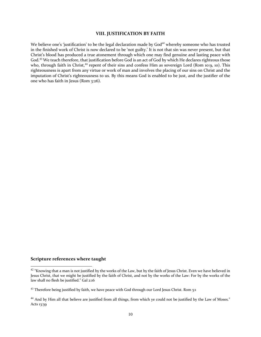### **VIII. JUSTIFICATION BY FAITH**

We believe one's 'justification' to be the legal declaration made by God<sup>42</sup> whereby someone who has trusted in the finished work of Christ is now declared to be 'not guilty.' It is not that sin was never present, but that Christ's blood has produced a true atonement through which one may find genuine and lasting peace with God.<sup>43</sup> We teach therefore, that justification before God is an act of God by which He declares righteous those who, through faith in Christ,<sup>44</sup> repent of their sins and confess Him as sovereign Lord (Rom 10:9, 10). This righteousness is apart from any virtue or work of man and involves the placing of our sins on Christ and the imputation of Christ's righteousness to us. By this means God is enabled to be just, and the justifier of the one who has faith in Jesus (Rom 3:26).

 $42$  "Knowing that a man is not justified by the works of the Law, but by the faith of Jesus Christ. Even we have believed in Jesus Christ, that we might be justified by the faith of Christ, and not by the works of the Law: For by the works of the law shall no flesh be justified." Gal 2:16

 $43$  Therefore being justified by faith, we have peace with God through our Lord Jesus Christ. Rom  $5:1$ 

<sup>&</sup>lt;sup>44</sup> And by Him all that believe are justified from all things, from which ye could not be justified by the Law of Moses." Acts 13:39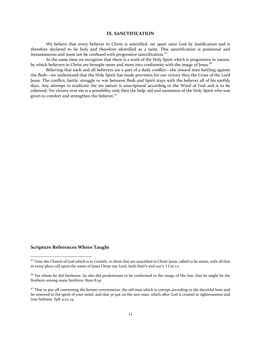### **IX. SANCTIFICATION**

We believe that every believer in Christ is sanctified, set apart unto God by Justification and is therefore declared to be holy and therefore identified as a saint. This sanctification is positional and instantaneous and must not be confused with progressive sanctification.<sup>45</sup>

At the same time we recognize that there is a work of the Holy Spirit which is progressive in nature, by which believers in Christ are brought more and more into conformity with the image of Jesus.<sup>46</sup>

Believing that each and all believers are a part of a daily conflict—the inward man battling against the flesh—we understand that the Holy Spirit has made provision for our victory thru the Cross of the Lord Jesus. The conflict, battle, struggle or war between flesh and Spirit stays with the believer all of his earthly days. Any attempt to eradicate the sin nature is unscriptural according to the Word of God and is to be eshewed. Yet victory over sin is a possibility only thru the help, aid and assistance of the Holy Spirit who was given to comfort and strengthen the believer.<sup>47</sup>

<sup>&</sup>lt;sup>45</sup> Unto the Church of God which is at Corinth, to them that are sanctified in Christ Jesus, called to be saints, with all that in every place call upon the name of Jesus Christ our Lord, both their's and our's. I Cor 1:2

<sup>&</sup>lt;sup>46</sup> For whom he did foreknow, he also did predestinate to be conformed to the image of His Son, that he might be the firstborn among many brethren. Rom 8:29

 $47$  That ye put off concerning the former conversation, the old man which is corrupt according to the deceitful lusts and be renewed in the spirit of your mind; and that ye put on the new man, which after God is created in righteousness and true holiness. Eph 4:22-24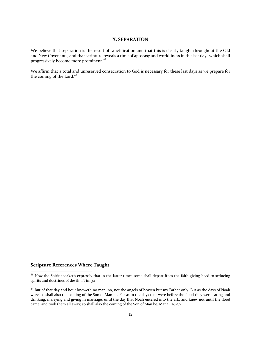# **X. SEPARATION**

We believe that separation is the result of sanctification and that this is clearly taught throughout the Old and New Covenants, and that scripture reveals a time of apostasy and worldliness in the last days which shall progressively become more prominent.<sup>48</sup>

We affirm that a total and unreserved consecration to God is necessary for these last days as we prepare for the coming of the Lord.<sup>49</sup>

 $48$  Now the Spirit speaketh expressly that in the latter times some shall depart from the faith giving heed to seducing spirits and doctrines of devils; I Tim 3:1

<sup>&</sup>lt;sup>49</sup> But of that day and hour knoweth no man, no, not the angels of heaven but my Father only. But as the days of Noah were, so shall also the coming of the Son of Man be. For as in the days that were before the flood they were eating and drinking, marrying and giving in marriage, until the day that Noah entered into the ark, and knew not until the flood came, and took them all away; so shall also the coming of the Son of Man be. Mat 24:36-39.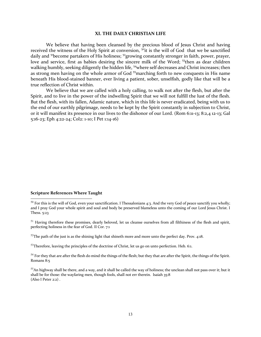#### **XI. THE DAILY CHRISTIAN LIFE**

We believe that having been cleansed by the precious blood of Jesus Christ and having received the witness of the Holy Spirit at conversion, <sup>50</sup>it is the will of God that we be sanctified daily and <sup>51</sup>become partakers of His holiness; <sup>52</sup>growing constantly stronger in faith, power, prayer, love and service, first as babies desiring the sincere milk of the Word; <sup>53</sup>then as dear children walking humbly, seeking diligently the hidden life, <sup>54</sup>where self decreases and Christ increases; then as strong men having on the whole armor of God <sup>55</sup>marching forth to new conquests in His name beneath His blood-stained banner, ever living a patient, sober, unselfish, godly like that will be a true reflection of Christ within.

We believe that we are called with a holy calling, to walk not after the flesh, but after the Spirit, and to live in the power of the indwelling Spirit that we will not fulfill the lust of the flesh. But the flesh, with its fallen, Adamic nature, which in this life is never eradicated, being with us to the end of our earthly pilgrimage, needs to be kept by the Spirit constantly in subjection to Christ, or it will manifest its presence in our lives to the dishonor of our Lord. (Rom 6:11-13; 8:2,4 12-13; Gal 5:16-23; Eph 4:22-24; Col2: 1-10; I Pet 1:14-16)

# **Scripture References Where Taught**

 $51$  Having therefore these promises, dearly beloved, let us cleanse ourselves from all filthiness of the flesh and spirit, perfecting holiness in the fear of God. II Cor. 7:1

 $52$ The path of the just is as the shining light that shineth more and more unto the perfect day. Prov. 4:18.

 $53$ Therefore, leaving the principles of the doctrine of Christ, let us go on unto perfection. Heb. 6:1.

 $54$  For they that are after the flesh do mind the things of the flesh; but they that are after the Spirit, the things of the Spirit. Romans 8:5

<sup>55</sup>An highway shall be there, and a way, and it shall be called the way of holiness; the unclean shall not pass over it; but it shall be for those: the wayfaring men, though fools, shall not err therein. Isaiah 35:8 (Also I Peter 2:2) .

 $50$  For this is the will of God, even your sanctification. I Thessalonians 4:3. And the very God of peace sanctify you wholly; and I pray God your whole spirit and soul and body be preserved blameless unto the coming of our Lord Jesus Christ. I Thess. 5:23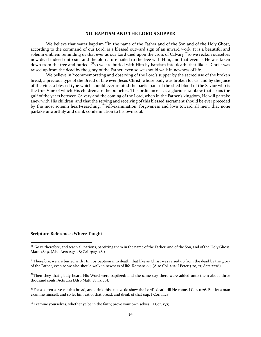#### **XII. BAPTISM AND THE LORD'S SUPPER**

We believe that water baptism  $56$ in the name of the Father and of the Son and of the Holy Ghost, according to the command of our Lord, is a blessed outward sign of an inward work. It is a beautiful and solemn emblem reminding us that ever as our Lord died upon the cross of Calvary  $\frac{57}{50}$  we reckon ourselves now dead indeed unto sin, and the old nature nailed to the tree with Him, and that even as He was taken down from the tree and buried, <sup>58</sup>so we are buried with Him by baptism into death: that like as Christ was raised up from the dead by the glory of the Father, even so we should walk in newness of life.

We believe in <sup>59</sup>commemorating and observing of the Lord's supper by the sacred use of the broken bread, a precious type of the Bread of Life even Jesus Christ, whose body was broken for us; and by the juice of the vine, a blessed type which should ever remind the participant of the shed blood of the Savior who is the true Vine of which His children are the branches. This ordinance is as a glorious rainbow that spans the gulf of the years between Calvary and the coming of the Lord, when in the Father's kingdom, He will partake anew with His children; and that the serving and receiving of this blessed sacrament should be ever preceded by the most solemn heart-searching, <sup>60</sup>self-examination, forgiveness and love toward all men, that none partake unworthily and drink condemnation to his own soul.

<sup>&</sup>lt;sup>56</sup> Go ve therefore, and teach all nations, baptizing them in the name of the Father, and of the Son, and of the Holy Ghost. Matt. 28:19. (Also Acts 1:47, 48; Gal. 3:27, 28.)

 $57$ Therefore, we are buried with Him by baptism into death: that like as Christ was raised up from the dead by the glory of the Father, even so we also should walk in newness of life. Romans 6:4 (Also Col. 2:12; I Peter 3:20, 21; Acts 22:16).

<sup>&</sup>lt;sup>58</sup>Then they that gladly heard His Word were baptized: and the same day there were added unto them about three thousand souls. Acts 2:41 (Also Matt. 28:19, 20).

 $59$ For as often as ye eat this bread, and drink this cup, ye do show the Lord's death till He come. I Cor. 11:26. But let a man examine himself, and so let him eat of that bread, and drink of that cup. I Cor. 11:28

 $60$ Examine yourselves, whether ye be in the faith; prove your own selves. II Cor. 13:5.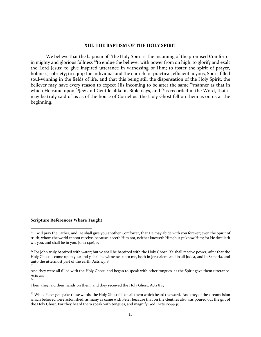# **XIII. THE BAPTISM OF THE HOLY SPIRIT**

We believe that the baptism of  $61$ <sup>the</sup> Holy Spirit is the incoming of the promised Comforter in mighty and glorious fullness  $62$  to endue the believer with power from on high; to glorify and exalt the Lord Jesus; to give inspired utterance in witnessing of Him; to foster the spirit of prayer, holiness, sobriety; to equip the individual and the church for practical, efficient, joyous, Spirit-filled soul-winning in the fields of life, and that this being still the dispensation of the Holy Spirit, the believer may have every reason to expect His incoming to be after the same  $63$ manner as that in which He came upon  $^{64}$  Jew and Gentile alike in Bible days, and  $^{65}$  as recorded in the Word, that it may be truly said of us as of the house of Cornelius: the Holy Ghost fell on them as on us at the beginning.

 $61$  I will pray the Father, and He shall give you another Comforter, that He may abide with you forever; even the Spirit of truth; whom the world cannot receive, because it seeth Him not, neither knoweth Him; but ye know Him; for He dwelleth wit you, and shall be in you. John 14:16, 17

 $62$ For John truly baptized with water; but ye shall be baptized with the Holy Ghost...Ye shall receive power, after that the Holy Ghost is come upon you: and y shall be witnesses unto me, both in Jerusalem, and in all Judea, and in Samaria, and unto the uttermost part of the earth. Acts 1:5, 8 63

And they were all filled with the Holy Ghost, and began to speak with other tongues, as the Spirit gave them utterance. Acts 2:4 64

Then they laid their hands on them, and they received the Holy Ghost. Acts 8:17

<sup>&</sup>lt;sup>65</sup> While Peter yet spake these words, the Holy Ghost fell on all them which heard the word. And they of the circumcision which believed were astonished, as many as came with Peter because that on the Gentiles also was poured out the gift of the Holy Ghost. For they heard them speak with tongues, and magnify God. Acts 10:44-46.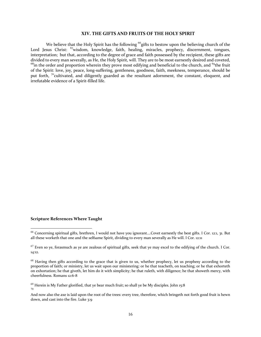#### **XIV. THE GIFTS AND FRUITS OF THE HOLY SPIRIT**

We believe that the Holy Spirit has the following <sup>66</sup>gifts to bestow upon the believing church of the Lord Jesus Christ: <sup>67</sup>wisdom, knowledge, faith, healing, miracles, prophecy, discernment, tongues, interpretation; but that, according to the degree of grace and faith possessed by the recipient, these gifts are divided to every man severally, as He, the Holy Spirit, will. They are to be most earnestly desired and coveted,  $^{68}$ in the order and proportion wherein they prove most edifying and beneficial to the church, and  $^{69}$ the fruit of the Spirit: love, joy, peace, long-suffering, gentleness, goodness, faith, meekness, temperance, should be put forth, <sup>70</sup>cultivated, and diligently guarded as the resultant adornment, the constant, eloquent, and irrefutable evidence of a Spirit-filled life.

<sup>66</sup> Concerning spiritual gifts, brethren, I would not have you ignorant….Covet earnestly the best gifts. I Cor. 12:1, 31. But all these worketh that one and the selfsame Spirit, dividing to every man severally as He will. I Cor. 12:11

 $67$  Even so ye, forasmuch as ye are zealous of spiritual gifts, seek that ye may excel to the edifying of the church. I Cor. 14:12.

<sup>&</sup>lt;sup>68</sup> Having then gifts according to the grace that is given to us, whether prophecy, let us prophesy according to the proportion of faith; or ministry, let us wait upon our ministering: or he that teacheth, on teaching; or he that exhorteth on exhortation; he that giveth, let him do it with simplicity; he that ruleth, with diligence; he that showeth mercy, with cheerfulness. Romans 12:6-8

 $69$  Herein is My Father glorified, that ye bear much fruit; so shall ye be My disciples. John 15:8 70

And now also the axe is laid upon the root of the trees: every tree, therefore, which bringeth not forth good fruit is hewn down, and cast into the fire. Luke 3:9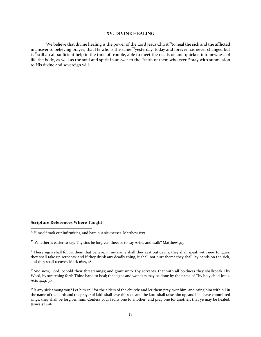#### **XV. DIVINE HEALING**

We believe that divine healing is the power of the Lord Jesus Christ  $\tau$  to heal the sick and the afflicted in answer to believing prayer, that He who is the same <sup>72</sup>yesterday, today and forever has never changed but is <sup>73</sup>still an all-sufficient help in the time of trouble, able to meet the needs of, and quicken into newness of life the body, as well as the soul and spirit in answer to the <sup>74</sup>faith of them who ever <sup>75</sup>pray with submission to His divine and sovereign will.

 $71$ Himself took our infirmities, and bare our sicknesses. Matthew 8:17.

 $72$  Whether is easier to say, Thy sins be forgiven thee; or to say Arise, and walk? Matthew 9:5.

 $73$ These signs shall follow them that believe; in my name shall they cast out devils; they shall speak with new tongues; they shall take up serpents; and if they drink any deadly thing, it shall not hurt them/ they shall lay hands on the sick, and they shall recover. Mark 16:17, 18.

 $74$ And now, Lord, behold their threatenings; and grant unto Thy servants, that with all boldness they shallspeak Thy Word, by stretching forth Thine hand to heal; that signs and wonders may be done by the name of Thy holy child Jesus. Acts 4:29, 30.

 $75$ Is any sick among you? Let him call for the elders of the church: and let them pray over him, anointing him with oil in the name of the Lord: and the prayer of faith shall save the sick, and the Lord shall raise him up; and if he have committed sings, they shall be forgiven him. Confess your faults one to another, and pray one for another, that ye may be healed. James 5:14-16.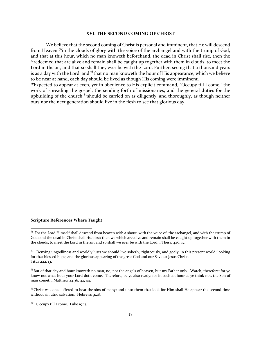### **XVI. THE SECOND COMING OF CHRIST**

We believe that the second coming of Christ is personal and imminent, that He will descend from Heaven  $\frac{7}{6}$ in the clouds of glory with the voice of the archangel and with the trump of God, and that at this hour, which no man knoweth beforehand, the dead in Christ shall rise, then the  $\tau$  redeemed that are alive and remain shall be caught up together with them in clouds, to meet the Lord in the air, and that so shall they ever be with the Lord. Further, seeing that a thousand years is as a day with the Lord, and  $78$  that no man knoweth the hour of His appearance, which we believe to be near at hand, each day should be lived as though His coming were imminent.

**<sup>79</sup>**Expected to appear at even, yet in obedience to His explicit command, "Occupy till I come," the work of spreading the gospel, the sending forth of missionaries, and the general duties for the upbuilding of the church <sup>80</sup>should be carried on as diligently, and thoroughly, as though neither ours nor the next generation should live in the flesh to see that glorious day.

 $76$  For the Lord Himself shall descend from heaven with a shout, with the voice of the archangel, and with the trump of God: and the dead in Christ shall rise first: then we which are alive and remain shall be caught up together with them in the clouds, to meet the Lord in the air: and so shall we ever be with the Lord. I Thess. 4:16, 17.

 $77$ ...Denying ungodliness and worldly lusts we should live soberly, righteously, and godly, in this present world; looking for that blessed hope, and the glorious appearing of the great God and our Saviour Jesus Christ. Titus 2:12, 13.

 $^{78}$ But of that day and hour knoweth no man, no, not the angels of heaven, but my Father only. Watch, therefore: for ye know not what hour your Lord doth come. Therefore, be ye also ready: for in such an hour as ye think not, the Son of man cometh. Matthew 24:36, 42, 44.

 $79$ Christ was once offered to bear the sins of many; and unto them that look for Him shall He appear the second time without sin utno salvation. Hebrews 9:28.

<sup>80</sup>…Occupy till I come. Luke 19:13.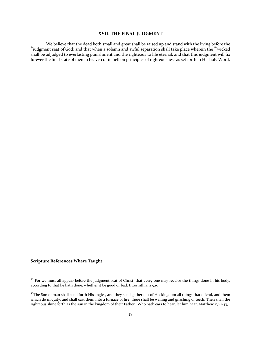# **XVII. THE FINAL JUDGMENT**

We believe that the dead both small and great shall be raised up and stand with the living before the  $81$ <br>biliudgment seat of God; and that when a solemn and awful separation shall take place wherein the  $82$ wicked shall be adjudged to everlasting punishment and the righteous to life eternal, and that this judgment will fix forever the final state of men in heaven or in hell on principles of righteousness as set forth in His holy Word.

 $81$  For we must all appear before the judgment seat of Christ; that every one may receive the things done in his body, according to that he hath done, whether it be good or bad. IICorinthians 5:10

<sup>82</sup>The Son of man shall send forth His angles, and they shall gather out of His kingdom all things that offend, and them which do iniquity; and shall cast them into a furnace of fire: there shall be wailing and gnashing of teeth. Then shall the righteous shine forth as the sun in the kingdom of their Father. Who hath ears to hear, let him hear. Matthew 13:41-43,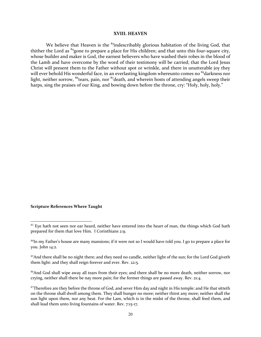### **XVIII. HEAVEN**

We believe that Heaven is the  $83$ indescribably glorious habitation of the living God, that thither the Lord as <sup>84</sup>gone to prepare a place for His children; and that unto this four-square city, whose builder and maker is God, the earnest believers who have washed their robes in the blood of the Lamb and have overcome by the word of their testimony will be carried; that the Lord Jesus Christ will present them to the Father without spot or wrinkle, and there in unutterable joy they will ever behold His wonderful face, in an everlasting kingdom whereunto comes no <sup>85</sup>darkness nor light, neither sorrow,  $^{86}$ tears, pain, nor  $^{87}$ death, and wherein hosts of attending angels sweep their harps, sing the praises of our King, and bowing down before the throne, cry: "Holy, holy, holy."

<sup>&</sup>lt;sup>83</sup> Eye hath not seen nor ear heard, neither have entered into the heart of man, the things which God hath prepared for them that love Him. I Corinthians 2:9.

<sup>84</sup>In my Father's house are many mansions; if it were not so I would have told you. I go to prepare a place for you. John 14:2.

<sup>&</sup>lt;sup>85</sup>And there shall be no night there; and they need no candle, neither light of the sun; for the Lord God giveth them light: and they shall reign forever and ever. Rev. 22:5.

<sup>86</sup>And God shall wipe away all tears from their eyes; and there shall be no more death, neither sorrow, nor crying, neither shall there be nay more pain; for the former things are passed away. Rev. 21:4.

<sup>&</sup>lt;sup>87</sup>Therefore are they before the throne of God, and sever Him day and night in His temple: and He that sitteth on the throne shall dwell among them. They shall hunger no more; neither thirst any more; neither shall the sun light upon them, nor any heat. For the Lam, which is in the midst of the throne, shall feed them, and shall lead them unto living fountains of water. Rev. 7:15-17.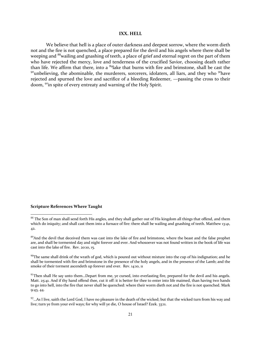#### **IXX. HELL**

We believe that hell is a place of outer darkness and deepest sorrow, where the worm dieth not and the fire is not quenched, a place prepared for the devil and his angels where there shall be weeping and <sup>88</sup> wailing and gnashing of teeth, a place of grief and eternal regret on the part of them who have rejected the mercy, love and tenderness of the crucified Savior, choosing death rather than life. We affirm that there, into a <sup>89</sup>lake that burns with fire and brimstone, shall be cast the <sup>90</sup>unbelieving, the abominable, the murderers, sorcerers, idolaters, all liars, and they who <sup>91</sup>have rejected and spurned the love and sacrifice of a bleeding Redeemer, —passing the cross to their doom, <sup>92</sup>in spite of every entreaty and warning of the Holy Spirit.

<sup>88</sup> The Son of man shall send forth His angles, and they shall gather out of His kingdom all things that offend, and them which do iniquity; and shall cast them into a furnace of fire: there shall be wailing and gnashing of teeth. Matthew 13:41, 42.

<sup>&</sup>lt;sup>89</sup>And the devil that deceived them was cast into the lake of fire and brimstone, where the beast and the false prophet are, and shall be tormented day and night forever and ever. And whosoever was not found written in the book of life was cast into the lake of fire. Rev. 20:10, 15.

 $90$ The same shall drink of the wrath of god, which is poured out without mixture into the cup of his indignation; and he shall be tormented with fire and brimstone in the presence of the holy angels, and in the presence of the Lamb; and the smoke of their torment ascendeth up forever and ever. Rev. 14:10, 11

 $91$ Then shall He say unto them...Depart from me, ye cursed, into everlasting fire, prepared for the devil and his angels. Matt. 25:41. And if thy hand offend thee, cut it off: it is better for thee to enter into life maimed, than having two hands to go into hell, into the fire that never shall be quenched: where their worm dieth not and the fire is not quenched. Mark 9:43, 44.

 $92^{\circ}$ ...As I live, saith the Lord God, I have no pleasure in the death of the wicked; but that the wicked turn from his way and live; turn ye from your evil ways; for why will ye die, O house of Israel? Ezek. 33:11.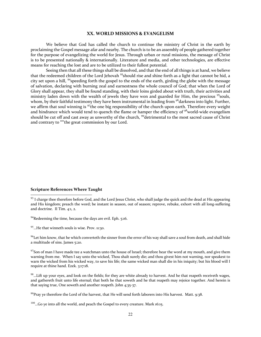#### **XX. WORLD MISSIONS & EVANGELISM**

We believe that God has called the church to continue the ministry of Christ in the earth by proclaiming the Gospel message afar and nearby. The church is to be an assembly of people gathered together for the purpose of evangelizing the world for Jesus. Through urban or rural missions, the message of Christ is to be presented nationally & internationally. Literature and media, and other technologies, are effective means for reaching the lost and are to be utilized to their fullest potential.

Seeing then that all these things shall be dissolved, and that the end of all things is at hand, we believe that the redeemed children of the Lord Jehovah <sup>93</sup>should rise and shine forth as a light that cannot be hid, a city set upon a hill, <sup>94</sup>speeding forth the gospel to the ends of the earth, girding the globe with the message of salvation, declaring with burning zeal and earnestness the whole council of God; that when the Lord of Glory shall appear, they shall be found standing, with their loins girded about with truth, their activities and ministry laden down with the wealth of jewels they have won and guarded for Him, the precious <sup>95</sup>souls, whom, by their faithful testimony they have been instrumental in leading from <sup>96</sup> darkness into light. Further, we affirm that soul winning is  $97$ the one big responsibility of the church upon earth. Therefore every weight and hindrance which would tend to quench the flame or hamper the efficiency of <sup>98</sup>world-wide evangelism should be cut off and cast away as unworthy of the church, <sup>99</sup>detrimental to the most sacred cause of Christ and contrary to  $^{100}$ the great commission by our Lord.

# **Scripture References Where Taught**

94Redeeming the time, because the days are evil. Eph. 5:16.

95...He that winneth souls is wise. Prov. 11:30.

 $96$ Let him know, that he which converteth the sinner from the error of his way shall save a soul from death, and shall hide a multitude of sins. James 5:20.

 $97$ Son of man I have made tee a watchman unto the house of Israel; therefore hear the word at my mouth, and give them warning from me. When I say unto the wicked, Thou shalt surely die; and thou givest him not warning, nor speakest to warn the wicked from his wicked way, to save his life; the same wicked man shall die in his iniquity; but his blood will I require at thine hand. Ezek. 3:17:18.

 $98$ ...Lift up your eyes, and look on the fields; for they are white already to harvest. And he that reapeth receiveth wages, and gathereth fruit unto life eternal; that both he that soweth and he that reapeth may rejoice together. And herein is that saying true, One soweth and another reapeth. John 4;35-37.

 $99$ Pray ye therefore the Lord of the harvest, that He will send forth laborers into His harvest. Matt. 9:38.

<sup>93</sup> I charge thee therefore before God, and the Lord Jesus Christ, who shall judge the quick and the dead at His appearing and His kingdom; preach the word; be instant in season, out of season; reprove, rebuke, exhort with all long-suffering and doctrine. II Tim. 4:1, 2.

 $100...$  Go ye into all the world, and peach the Gospel to every creature. Mark 16:15.